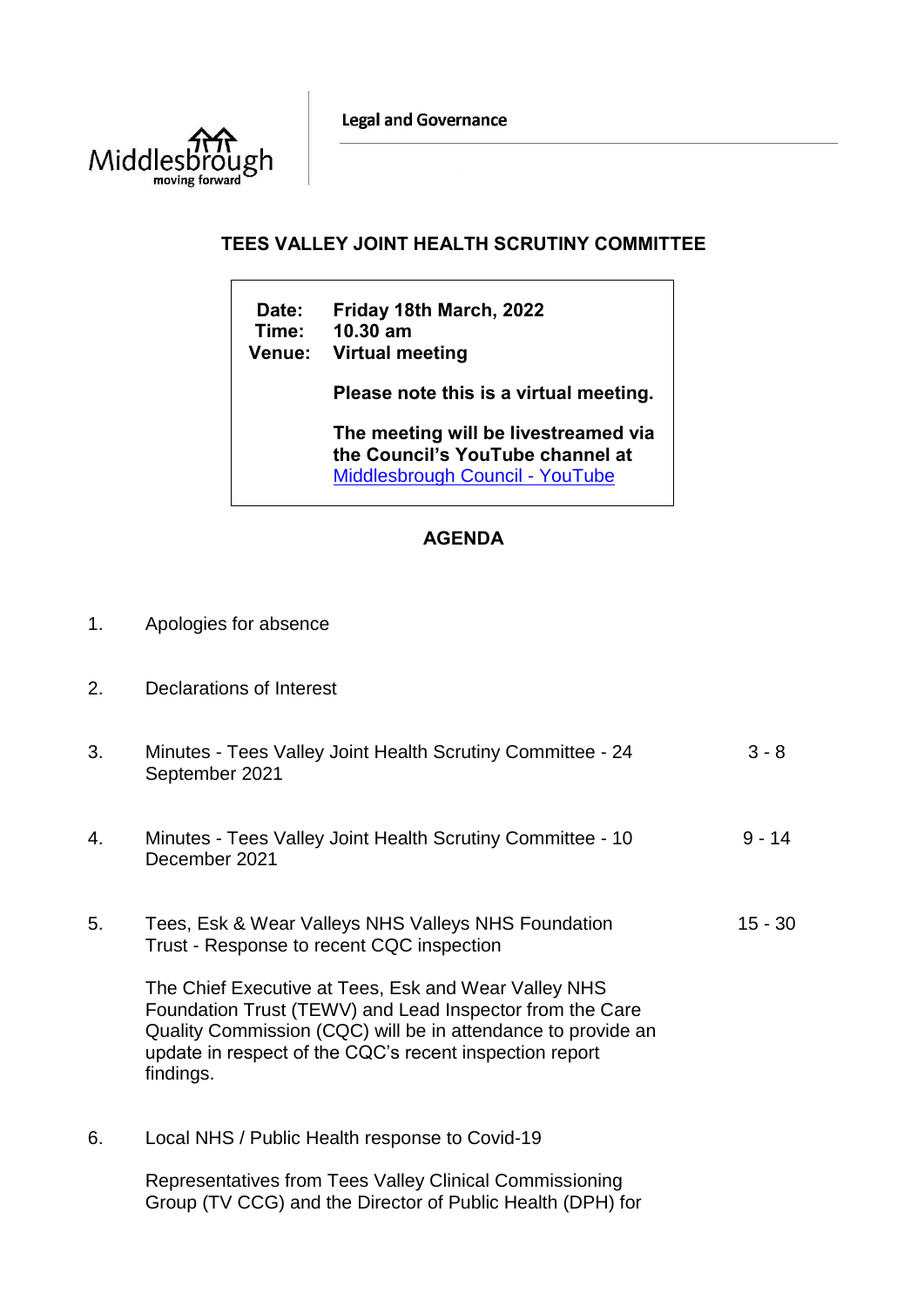**Legal and Governance** 



## **TEES VALLEY JOINT HEALTH SCRUTINY COMMITTEE**

**Date: Friday 18th March, 2022 Time: 10.30 am Venue: Virtual meeting Please note this is a virtual meeting. The meeting will be livestreamed via the Council's YouTube channel at**  [Middlesbrough Council -](https://www.youtube.com/user/middlesbroughcouncil) YouTube

## **AGENDA**

- 1. Apologies for absence
- 2. Declarations of Interest

| 3. | Minutes - Tees Valley Joint Health Scrutiny Committee - 24<br>September 2021                                                                                                                                                                             | $3 - 8$   |
|----|----------------------------------------------------------------------------------------------------------------------------------------------------------------------------------------------------------------------------------------------------------|-----------|
| 4. | Minutes - Tees Valley Joint Health Scrutiny Committee - 10<br>December 2021                                                                                                                                                                              | $9 - 14$  |
| 5. | Tees, Esk & Wear Valleys NHS Valleys NHS Foundation<br>Trust - Response to recent CQC inspection                                                                                                                                                         | $15 - 30$ |
|    | The Chief Executive at Tees, Esk and Wear Valley NHS<br>Foundation Trust (TEWV) and Lead Inspector from the Care<br>Quality Commission (CQC) will be in attendance to provide an<br>update in respect of the CQC's recent inspection report<br>findings. |           |
| 6. | Local NHS / Public Health response to Covid-19                                                                                                                                                                                                           |           |
|    | Representatives from Tees Valley Clinical Commissioning                                                                                                                                                                                                  |           |

Group (TV CCG) and the Director of Public Health (DPH) for